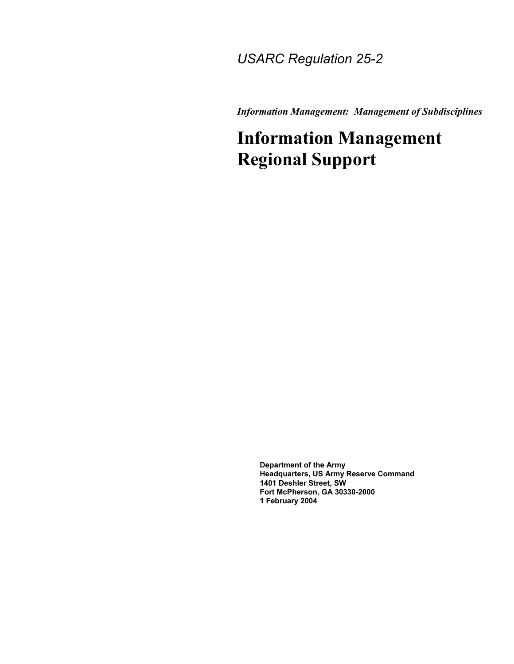### *USARC Regulation 25-2*

*Information Management: Management of Subdisciplines* 

## **Information Management Regional Support**

**Department of the Army Headquarters, US Army Reserve Command 1401 Deshler Street, SW Fort McPherson, GA 30330-2000 1 February 2004**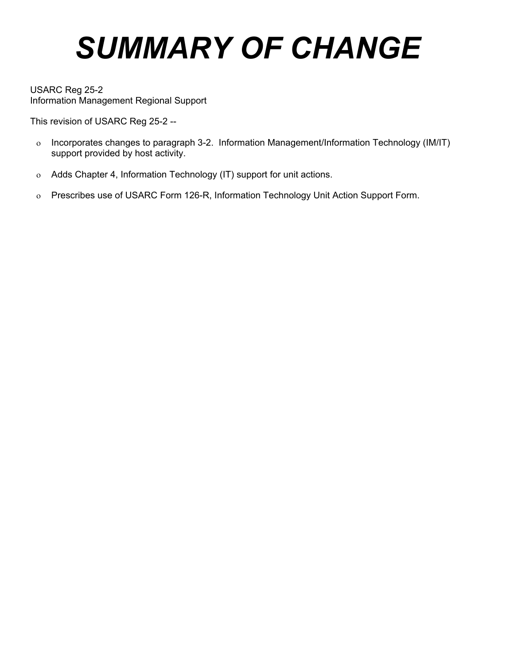# *SUMMARY OF CHANGE*

USARC Reg 25-2 Information Management Regional Support

This revision of USARC Reg 25-2 --

- ο Incorporates changes to paragraph 3-2. Information Management/Information Technology (IM/IT) support provided by host activity.
- ο Adds Chapter 4, Information Technology (IT) support for unit actions.
- ο Prescribes use of USARC Form 126-R, Information Technology Unit Action Support Form.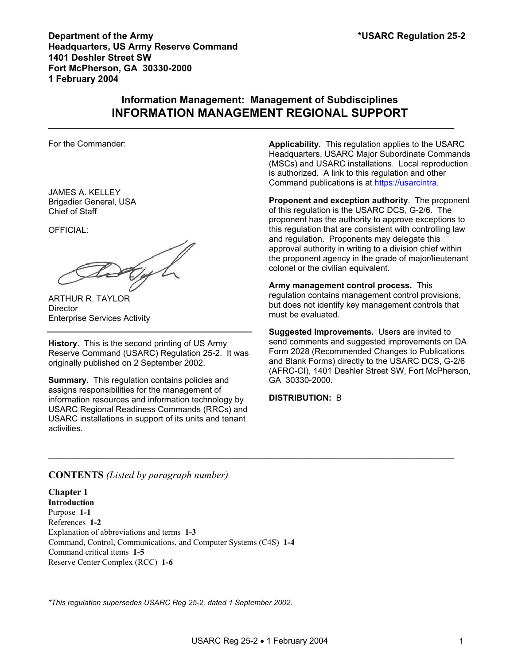#### **Information Management: Management of Subdisciplines INFORMATION MANAGEMENT REGIONAL SUPPORT**

 $\mathcal{L}_\mathcal{L} = \mathcal{L}_\mathcal{L} = \mathcal{L}_\mathcal{L} = \mathcal{L}_\mathcal{L} = \mathcal{L}_\mathcal{L} = \mathcal{L}_\mathcal{L} = \mathcal{L}_\mathcal{L} = \mathcal{L}_\mathcal{L} = \mathcal{L}_\mathcal{L} = \mathcal{L}_\mathcal{L} = \mathcal{L}_\mathcal{L} = \mathcal{L}_\mathcal{L} = \mathcal{L}_\mathcal{L} = \mathcal{L}_\mathcal{L} = \mathcal{L}_\mathcal{L} = \mathcal{L}_\mathcal{L} = \mathcal{L}_\mathcal{L}$ 

For the Commander:

JAMES A. KELLEY Brigadier General, USA Chief of Staff

OFFICIAL:

GyL

ARTHUR R. TAYLOR **Director** Enterprise Services Activity

**History**. This is the second printing of US Army Reserve Command (USARC) Regulation 25-2. It was originally published on 2 September 2002.

**Summary.** This regulation contains policies and assigns responsibilities for the management of information resources and information technology by USARC Regional Readiness Commands (RRCs) and USARC installations in support of its units and tenant activities.

**Applicability.** This regulation applies to the USARC Headquarters, USARC Major Subordinate Commands (MSCs) and USARC installations. Local reproduction is authorized. A link to this regulation and other Command publications is at [https://usarcintra](https://usarcintra/).

**Proponent and exception authority**. The proponent of this regulation is the USARC DCS, G-2/6. The proponent has the authority to approve exceptions to this regulation that are consistent with controlling law and regulation. Proponents may delegate this approval authority in writing to a division chief within the proponent agency in the grade of major/lieutenant colonel or the civilian equivalent.

**Army management control process.** This regulation contains management control provisions, but does not identify key management controls that must be evaluated.

**Suggested improvements.** Users are invited to send comments and suggested improvements on DA Form 2028 (Recommended Changes to Publications and Blank Forms) directly to the USARC DCS, G-2/6 (AFRC-CI), 1401 Deshler Street SW, Fort McPherson, GA 30330-2000.

#### **DISTRIBUTION:** B

#### **CONTENTS** *(Listed by paragraph number)*

**Chapter 1 Introduction**  Purpose **1***-***1** References **1-2**  Explanation of abbreviations and terms **1-3**  Command, Control, Communications, and Computer Systems (C4S) **1-4**  Command critical items **1-5**  Reserve Center Complex (RCC) **1-6** 

*\*This regulation supersedes USARC Reg 25-2, dated 1 September 2002.*

 $\mathcal{L}_\mathcal{L} = \mathcal{L}_\mathcal{L} = \mathcal{L}_\mathcal{L} = \mathcal{L}_\mathcal{L} = \mathcal{L}_\mathcal{L} = \mathcal{L}_\mathcal{L} = \mathcal{L}_\mathcal{L} = \mathcal{L}_\mathcal{L} = \mathcal{L}_\mathcal{L} = \mathcal{L}_\mathcal{L} = \mathcal{L}_\mathcal{L} = \mathcal{L}_\mathcal{L} = \mathcal{L}_\mathcal{L} = \mathcal{L}_\mathcal{L} = \mathcal{L}_\mathcal{L} = \mathcal{L}_\mathcal{L} = \mathcal{L}_\mathcal{L}$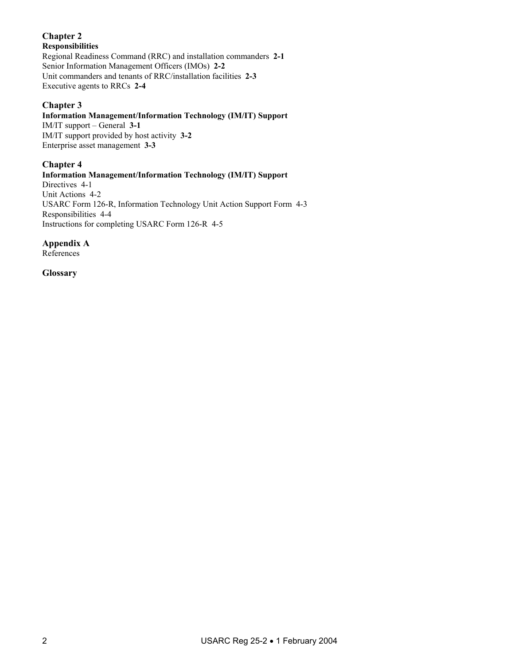#### **Chapter 2**

#### **Responsibilities**

Regional Readiness Command (RRC) and installation commanders **2-1**  Senior Information Management Officers (IMOs) **2-2**  Unit commanders and tenants of RRC/installation facilities **2-3**  Executive agents to RRCs **2-4** 

#### **Chapter 3**

#### **Information Management/Information Technology (IM/IT) Support**

IM/IT support – General **3-1**  IM/IT support provided by host activity **3-2** Enterprise asset management **3-3** 

#### **Chapter 4**

**Information Management/Information Technology (IM/IT) Support**  Directives 4-1 Unit Actions 4-2 USARC Form 126-R, Information Technology Unit Action Support Form 4-3 Responsibilities 4-4 Instructions for completing USARC Form 126-R 4-5

**Appendix A** 

References

**Glossary**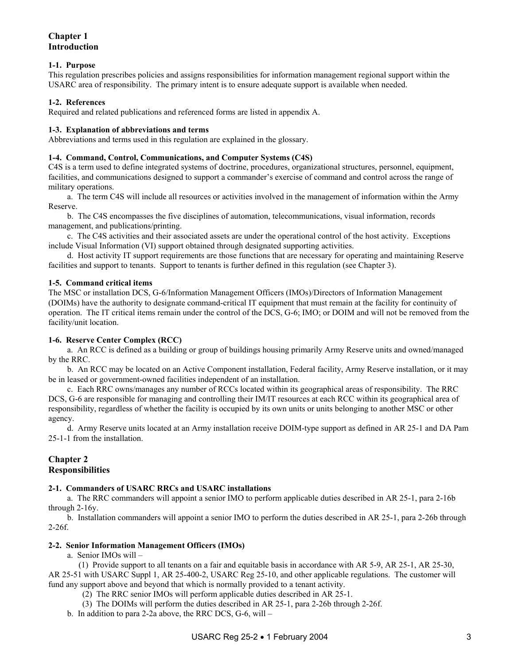#### **Chapter 1 Introduction**

#### **1***-***1. Purpose**

This regulation prescribes policies and assigns responsibilities for information management regional support within the USARC area of responsibility. The primary intent is to ensure adequate support is available when needed.

#### **1***-***2. References**

Required and related publications and referenced forms are listed in appendix A.

#### **1***-***3. Explanation of abbreviations and terms**

Abbreviations and terms used in this regulation are explained in the glossary.

#### **1-4. Command, Control, Communications, and Computer Systems (C4S)**

C4S is a term used to define integrated systems of doctrine, procedures, organizational structures, personnel, equipment, facilities, and communications designed to support a commander's exercise of command and control across the range of military operations.

 a. The term C4S will include all resources or activities involved in the management of information within the Army Reserve.

 b. The C4S encompasses the five disciplines of automation, telecommunications, visual information, records management, and publications/printing.

 c. The C4S activities and their associated assets are under the operational control of the host activity. Exceptions include Visual Information (VI) support obtained through designated supporting activities.

 d. Host activity IT support requirements are those functions that are necessary for operating and maintaining Reserve facilities and support to tenants. Support to tenants is further defined in this regulation (see Chapter 3).

#### **1-5. Command critical items**

The MSC or installation DCS, G-6/Information Management Officers (IMOs)/Directors of Information Management (DOIMs) have the authority to designate command-critical IT equipment that must remain at the facility for continuity of operation. The IT critical items remain under the control of the DCS, G-6; IMO; or DOIM and will not be removed from the facility/unit location.

#### **1-6. Reserve Center Complex (RCC)**

 a. An RCC is defined as a building or group of buildings housing primarily Army Reserve units and owned/managed by the RRC.

 b. An RCC may be located on an Active Component installation, Federal facility, Army Reserve installation, or it may be in leased or government-owned facilities independent of an installation.

 c. Each RRC owns/manages any number of RCCs located within its geographical areas of responsibility. The RRC DCS, G-6 are responsible for managing and controlling their IM/IT resources at each RCC within its geographical area of responsibility, regardless of whether the facility is occupied by its own units or units belonging to another MSC or other agency.

 d. Army Reserve units located at an Army installation receive DOIM-type support as defined in AR 25-1 and DA Pam 25-1-1 from the installation.

#### **Chapter 2 Responsibilities**

#### **2-1. Commanders of USARC RRCs and USARC installations**

 a. The RRC commanders will appoint a senior IMO to perform applicable duties described in AR 25-1, para 2-16b through 2-16y.

 b. Installation commanders will appoint a senior IMO to perform the duties described in AR 25-1, para 2-26b through  $2-26f.$ 

#### **2-2. Senior Information Management Officers (IMOs)**

a. Senior IMOs will –

 (1) Provide support to all tenants on a fair and equitable basis in accordance with AR 5-9, AR 25-1, AR 25-30, AR 25-51 with USARC Suppl 1, AR 25-400-2, USARC Reg 25-10, and other applicable regulations. The customer will fund any support above and beyond that which is normally provided to a tenant activity.

- (2) The RRC senior IMOs will perform applicable duties described in AR 25-1.
- (3) The DOIMs will perform the duties described in AR 25-1, para 2-26b through 2-26f.
- b. In addition to para 2-2a above, the RRC DCS, G-6, will –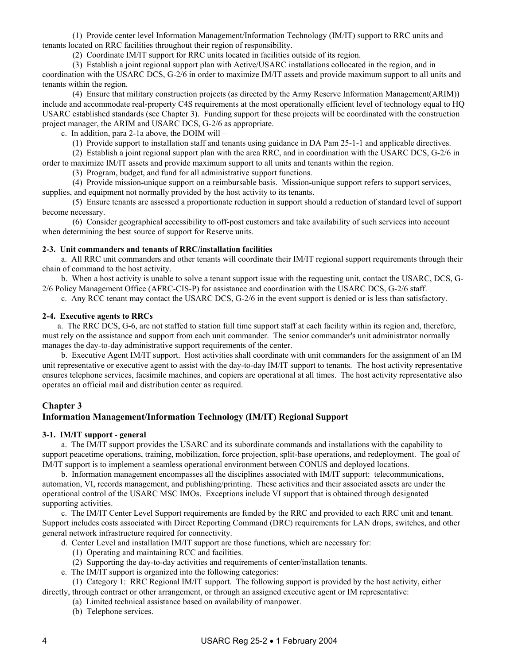(1) Provide center level Information Management/Information Technology (IM/IT) support to RRC units and tenants located on RRC facilities throughout their region of responsibility.

(2) Coordinate IM/IT support for RRC units located in facilities outside of its region.

 (3) Establish a joint regional support plan with Active/USARC installations collocated in the region, and in coordination with the USARC DCS, G-2/6 in order to maximize IM/IT assets and provide maximum support to all units and tenants within the region.

 (4) Ensure that military construction projects (as directed by the Army Reserve Information Management(ARIM)) include and accommodate real-property C4S requirements at the most operationally efficient level of technology equal to HQ USARC established standards (see Chapter 3). Funding support for these projects will be coordinated with the construction project manager, the ARIM and USARC DCS, G-2/6 as appropriate.

c. In addition, para 2-1a above, the DOIM will –

(1) Provide support to installation staff and tenants using guidance in DA Pam 25-1-1 and applicable directives.

 (2) Establish a joint regional support plan with the area RRC, and in coordination with the USARC DCS, G-2/6 in order to maximize IM/IT assets and provide maximum support to all units and tenants within the region.

(3) Program, budget, and fund for all administrative support functions.

(4) Provide mission*-*unique support on a reimbursable basis. Mission*-*unique support refers to support services,

supplies, and equipment not normally provided by the host activity to its tenants.

 (5) Ensure tenants are assessed a proportionate reduction in support should a reduction of standard level of support become necessary.

 (6) Consider geographical accessibility to off-post customers and take availability of such services into account when determining the best source of support for Reserve units.

#### **2-3. Unit commanders and tenants of RRC/installation facilities**

 a. All RRC unit commanders and other tenants will coordinate their IM/IT regional support requirements through their chain of command to the host activity.

 b. When a host activity is unable to solve a tenant support issue with the requesting unit, contact the USARC, DCS, G-2/6 Policy Management Office (AFRC-CIS-P) for assistance and coordination with the USARC DCS, G-2/6 staff.

c. Any RCC tenant may contact the USARC DCS, G-2/6 in the event support is denied or is less than satisfactory.

#### **2-4. Executive agents to RRCs**

 a. The RRC DCS, G-6, are not staffed to station full time support staff at each facility within its region and, therefore, must rely on the assistance and support from each unit commander. The senior commander's unit administrator normally manages the day-to-day administrative support requirements of the center.

 b. Executive Agent IM/IT support. Host activities shall coordinate with unit commanders for the assignment of an IM unit representative or executive agent to assist with the day-to-day IM/IT support to tenants. The host activity representative ensures telephone services, facsimile machines, and copiers are operational at all times. The host activity representative also operates an official mail and distribution center as required.

#### **Chapter 3**

#### **Information Management/Information Technology (IM/IT) Regional Support**

#### **3-1. IM/IT support - general**

 a. The IM/IT support provides the USARC and its subordinate commands and installations with the capability to support peacetime operations, training, mobilization, force projection, split-base operations, and redeployment. The goal of IM/IT support is to implement a seamless operational environment between CONUS and deployed locations.

 b. Information management encompasses all the disciplines associated with IM/IT support: telecommunications, automation, VI, records management, and publishing/printing. These activities and their associated assets are under the operational control of the USARC MSC IMOs. Exceptions include VI support that is obtained through designated supporting activities.

 c. The IM/IT Center Level Support requirements are funded by the RRC and provided to each RRC unit and tenant. Support includes costs associated with Direct Reporting Command (DRC) requirements for LAN drops, switches, and other general network infrastructure required for connectivity.

- d. Center Level and installation IM/IT support are those functions, which are necessary for:
	- (1) Operating and maintaining RCC and facilities.
	- (2) Supporting the day-to-day activities and requirements of center/installation tenants.
- e. The IM/IT support is organized into the following categories:

 (1) Category 1: RRC Regional IM/IT support. The following support is provided by the host activity, either directly, through contract or other arrangement, or through an assigned executive agent or IM representative:

- (a) Limited technical assistance based on availability of manpower.
- (b) Telephone services.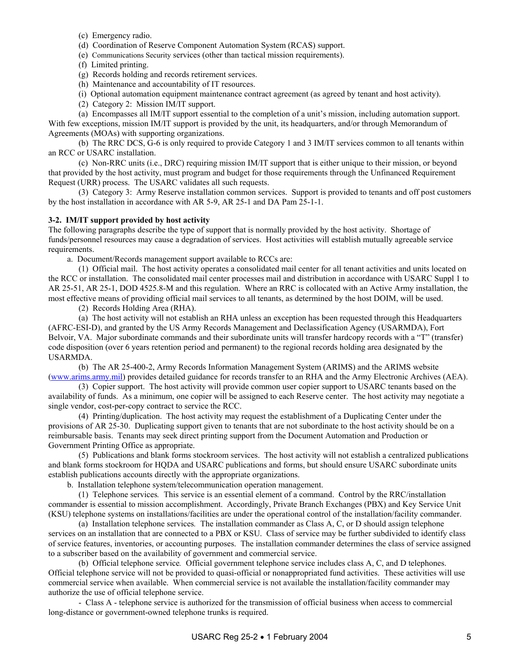- (c) Emergency radio.
- (d) Coordination of Reserve Component Automation System (RCAS) support.
- (e) Communications Security services (other than tactical mission requirements).
- (f) Limited printing.
- (g) Records holding and records retirement services.
- (h) Maintenance and accountability of IT resources.

(i) Optional automation equipment maintenance contract agreement (as agreed by tenant and host activity).

(2) Category 2: Mission IM/IT support.

 (a) Encompasses all IM/IT support essential to the completion of a unit's mission, including automation support. With few exceptions, mission IM/IT support is provided by the unit, its headquarters, and/or through Memorandum of Agreements (MOAs) with supporting organizations.

 (b) The RRC DCS, G-6 is only required to provide Category 1 and 3 IM/IT services common to all tenants within an RCC or USARC installation.

 (c) Non-RRC units (i.e., DRC) requiring mission IM/IT support that is either unique to their mission, or beyond that provided by the host activity, must program and budget for those requirements through the Unfinanced Requirement Request (URR) process. The USARC validates all such requests.

 (3) Category 3: Army Reserve installation common services. Support is provided to tenants and off post customers by the host installation in accordance with AR 5-9, AR 25-1 and DA Pam 25-1-1.

#### **3-2. IM/IT support provided by host activity**

The following paragraphs describe the type of support that is normally provided by the host activity. Shortage of funds/personnel resources may cause a degradation of services. Host activities will establish mutually agreeable service requirements.

a. Document/Records management support available to RCCs are:

 (1) Official mail. The host activity operates a consolidated mail center for all tenant activities and units located on the RCC or installation. The consolidated mail center processes mail and distribution in accordance with USARC Suppl 1 to AR 25-51, AR 25-1, DOD 4525.8-M and this regulation. Where an RRC is collocated with an Active Army installation, the most effective means of providing official mail services to all tenants, as determined by the host DOIM, will be used.

(2) Records Holding Area (RHA).

 (a) The host activity will not establish an RHA unless an exception has been requested through this Headquarters (AFRC-ESI-D), and granted by the US Army Records Management and Declassification Agency (USARMDA), Fort Belvoir, VA. Major subordinate commands and their subordinate units will transfer hardcopy records with a "T" (transfer) code disposition (over 6 years retention period and permanent) to the regional records holding area designated by the USARMDA.

 (b) The AR 25-400-2, Army Records Information Management System (ARIMS) and the ARIMS website ([www.arims.army.mil](http://www.arims.army.mil/)) provides detailed guidance for records transfer to an RHA and the Army Electronic Archives (AEA).

 (3) Copier support. The host activity will provide common user copier support to USARC tenants based on the availability of funds. As a minimum, one copier will be assigned to each Reserve center. The host activity may negotiate a single vendor, cost-per-copy contract to service the RCC.

 (4) Printing/duplication. The host activity may request the establishment of a Duplicating Center under the provisions of AR 25-30. Duplicating support given to tenants that are not subordinate to the host activity should be on a reimbursable basis. Tenants may seek direct printing support from the Document Automation and Production or Government Printing Office as appropriate.

 (5) Publications and blank forms stockroom services. The host activity will not establish a centralized publications and blank forms stockroom for HQDA and USARC publications and forms, but should ensure USARC subordinate units establish publications accounts directly with the appropriate organizations.

b. Installation telephone system/telecommunication operation management.

 (1) Telephone services*.* This service is an essential element of a command. Control by the RRC/installation commander is essential to mission accomplishment. Accordingly, Private Branch Exchanges (PBX) and Key Service Unit (KSU) telephone systems on installations/facilities are under the operational control of the installation/facility commander.

 (a) Installation telephone services*.* The installation commander as Class A, C, or D should assign telephone services on an installation that are connected to a PBX or KSU. Class of service may be further subdivided to identify class of service features, inventories, or accounting purposes. The installation commander determines the class of service assigned to a subscriber based on the availability of government and commercial service.

 (b) Official telephone service*.* Official government telephone service includes class A, C, and D telephones. Official telephone service will not be provided to quasi-official or nonappropriated fund activities. These activities will use commercial service when available. When commercial service is not available the installation/facility commander may authorize the use of official telephone service.

 - Class A - telephone service is authorized for the transmission of official business when access to commercial long-distance or government-owned telephone trunks is required.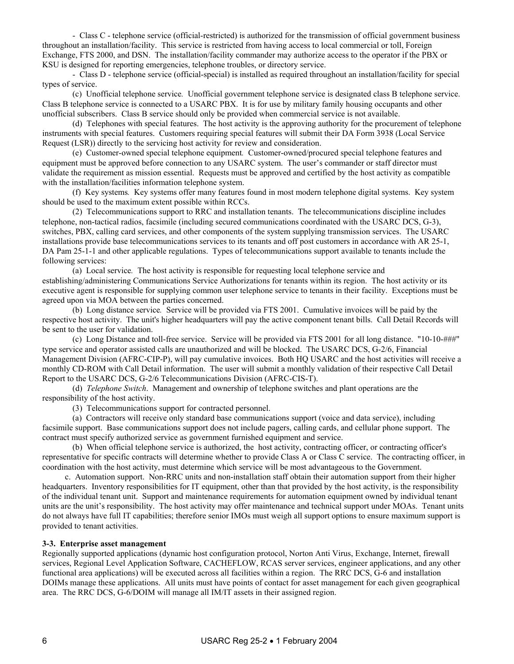- Class C - telephone service (official-restricted) is authorized for the transmission of official government business throughout an installation/facility. This service is restricted from having access to local commercial or toll, Foreign Exchange, FTS 2000, and DSN. The installation/facility commander may authorize access to the operator if the PBX or KSU is designed for reporting emergencies, telephone troubles, or directory service.

 - Class D - telephone service (official-special) is installed as required throughout an installation/facility for special types of service.

 (c) Unofficial telephone service*.* Unofficial government telephone service is designated class B telephone service. Class B telephone service is connected to a USARC PBX. It is for use by military family housing occupants and other unofficial subscribers. Class B service should only be provided when commercial service is not available.

(d) Telephones with special features. The host activity is the approving authority for the procurement of telephone instruments with special features. Customers requiring special features will submit their DA Form 3938 (Local Service Request (LSR)) directly to the servicing host activity for review and consideration.

 (e) Customer-owned special telephone equipment*.* Customer-owned/procured special telephone features and equipment must be approved before connection to any USARC system. The user's commander or staff director must validate the requirement as mission essential. Requests must be approved and certified by the host activity as compatible with the installation/facilities information telephone system.

 (f) Key systems*.* Key systems offer many features found in most modern telephone digital systems. Key system should be used to the maximum extent possible within RCCs.

 (2) Telecommunications support to RRC and installation tenants. The telecommunications discipline includes telephone, non-tactical radios, facsimile (including secured communications coordinated with the USARC DCS, G-3), switches, PBX, calling card services, and other components of the system supplying transmission services. The USARC installations provide base telecommunications services to its tenants and off post customers in accordance with AR 25-1, DA Pam 25-1-1 and other applicable regulations. Types of telecommunications support available to tenants include the following services:

 (a) Local service*.* The host activity is responsible for requesting local telephone service and establishing/administering Communications Service Authorizations for tenants within its region. The host activity or its executive agent is responsible for supplying common user telephone service to tenants in their facility. Exceptions must be agreed upon via MOA between the parties concerned.

 (b) Long distance service*.* Service will be provided via FTS 2001. Cumulative invoices will be paid by the respective host activity. The unit's higher headquarters will pay the active component tenant bills. Call Detail Records will be sent to the user for validation.

 (c) Long Distance and toll-free service. Service will be provided via FTS 2001 for all long distance. "10-10-###" type service and operator assisted calls are unauthorized and will be blocked. The USARC DCS, G-2/6, Financial Management Division (AFRC-CIP-P), will pay cumulative invoices. Both HQ USARC and the host activities will receive a monthly CD-ROM with Call Detail information. The user will submit a monthly validation of their respective Call Detail Report to the USARC DCS, G-2/6 Telecommunications Division (AFRC-CIS-T).

 (d) *Telephone Switch*. Management and ownership of telephone switches and plant operations are the responsibility of the host activity.

(3) Telecommunications support for contracted personnel.

 (a) Contractors will receive only standard base communications support (voice and data service), including facsimile support. Base communications support does not include pagers, calling cards, and cellular phone support. The contract must specify authorized service as government furnished equipment and service.

 (b) When official telephone service is authorized, the host activity, contracting officer, or contracting officer's representative for specific contracts will determine whether to provide Class A or Class C service. The contracting officer, in coordination with the host activity, must determine which service will be most advantageous to the Government.

 c. Automation support. Non-RRC units and non-installation staff obtain their automation support from their higher headquarters. Inventory responsibilities for IT equipment, other than that provided by the host activity, is the responsibility of the individual tenant unit. Support and maintenance requirements for automation equipment owned by individual tenant units are the unit's responsibility. The host activity may offer maintenance and technical support under MOAs. Tenant units do not always have full IT capabilities; therefore senior IMOs must weigh all support options to ensure maximum support is provided to tenant activities.

#### **3-3. Enterprise asset management**

Regionally supported applications (dynamic host configuration protocol, Norton Anti Virus, Exchange, Internet, firewall services, Regional Level Application Software, CACHEFLOW, RCAS server services, engineer applications, and any other functional area applications) will be executed across all facilities within a region. The RRC DCS, G-6 and installation DOIMs manage these applications. All units must have points of contact for asset management for each given geographical area. The RRC DCS, G-6/DOIM will manage all IM/IT assets in their assigned region.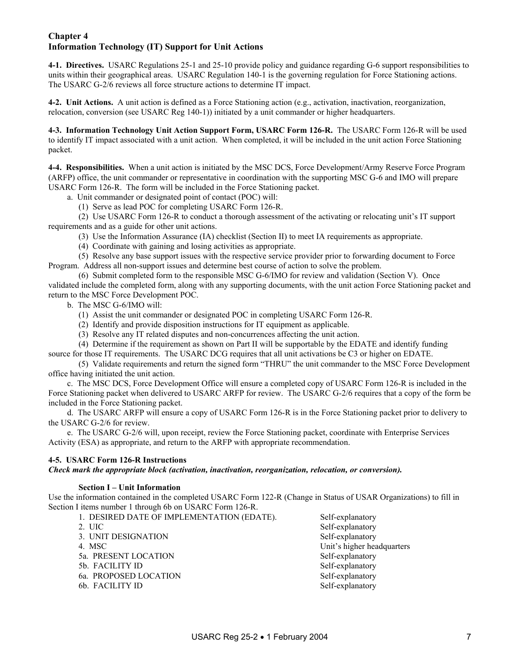#### **Chapter 4 Information Technology (IT) Support for Unit Actions**

**4-1. Directives.** USARC Regulations 25-1 and 25-10 provide policy and guidance regarding G-6 support responsibilities to units within their geographical areas. USARC Regulation 140-1 is the governing regulation for Force Stationing actions. The USARC G-2/6 reviews all force structure actions to determine IT impact.

**4-2. Unit Actions.** A unit action is defined as a Force Stationing action (e.g., activation, inactivation, reorganization, relocation, conversion (see USARC Reg 140-1)) initiated by a unit commander or higher headquarters.

**4-3. Information Technology Unit Action Support Form, USARC Form 126-R.** The USARC Form 126-R will be used to identify IT impact associated with a unit action. When completed, it will be included in the unit action Force Stationing packet.

**4-4. Responsibilities.** When a unit action is initiated by the MSC DCS, Force Development/Army Reserve Force Program (ARFP) office, the unit commander or representative in coordination with the supporting MSC G-6 and IMO will prepare USARC Form 126-R. The form will be included in the Force Stationing packet.

a. Unit commander or designated point of contact (POC) will:

(1) Serve as lead POC for completing USARC Form 126-R.

 (2) Use USARC Form 126-R to conduct a thorough assessment of the activating or relocating unit's IT support requirements and as a guide for other unit actions.

(3) Use the Information Assurance (IA) checklist (Section II) to meet IA requirements as appropriate.

(4) Coordinate with gaining and losing activities as appropriate.

 (5) Resolve any base support issues with the respective service provider prior to forwarding document to Force Program. Address all non-support issues and determine best course of action to solve the problem.

 (6) Submit completed form to the responsible MSC G-6/IMO for review and validation (Section V). Once validated include the completed form, along with any supporting documents, with the unit action Force Stationing packet and return to the MSC Force Development POC.

b. The MSC G-6/IMO will:

- (1) Assist the unit commander or designated POC in completing USARC Form 126-R.
- (2) Identify and provide disposition instructions for IT equipment as applicable.
- (3) Resolve any IT related disputes and non-concurrences affecting the unit action.

 (4) Determine if the requirement as shown on Part II will be supportable by the EDATE and identify funding source for those IT requirements. The USARC DCG requires that all unit activations be C3 or higher on EDATE.

 (5) Validate requirements and return the signed form "THRU" the unit commander to the MSC Force Development office having initiated the unit action.

 c. The MSC DCS, Force Development Office will ensure a completed copy of USARC Form 126-R is included in the Force Stationing packet when delivered to USARC ARFP for review. The USARC G-2/6 requires that a copy of the form be included in the Force Stationing packet.

 d. The USARC ARFP will ensure a copy of USARC Form 126-R is in the Force Stationing packet prior to delivery to the USARC G-2/6 for review.

 e. The USARC G-2/6 will, upon receipt, review the Force Stationing packet, coordinate with Enterprise Services Activity (ESA) as appropriate, and return to the ARFP with appropriate recommendation.

#### **4-5. USARC Form 126-R Instructions**

*Check mark the appropriate block (activation, inactivation, reorganization, relocation, or conversion).* 

#### **Section I – Unit Information**

Use the information contained in the completed USARC Form 122-R (Change in Status of USAR Organizations) to fill in Section I items number 1 through 6b on USARC Form 126-R.

| 1. DESIRED DATE OF IMPLEMENTATION (EDATE). | Self-explanatory           |
|--------------------------------------------|----------------------------|
| 2. UIC                                     | Self-explanatory           |
| 3. UNIT DESIGNATION                        | Self-explanatory           |
| 4. MSC                                     | Unit's higher headquarters |
| 5a. PRESENT LOCATION                       | Self-explanatory           |
| 5b. FACILITY ID                            | Self-explanatory           |
| 6a. PROPOSED LOCATION                      | Self-explanatory           |
| 6b. FACILITY ID                            | Self-explanatory           |

USARC Reg 25-2 • 1 February 2004 7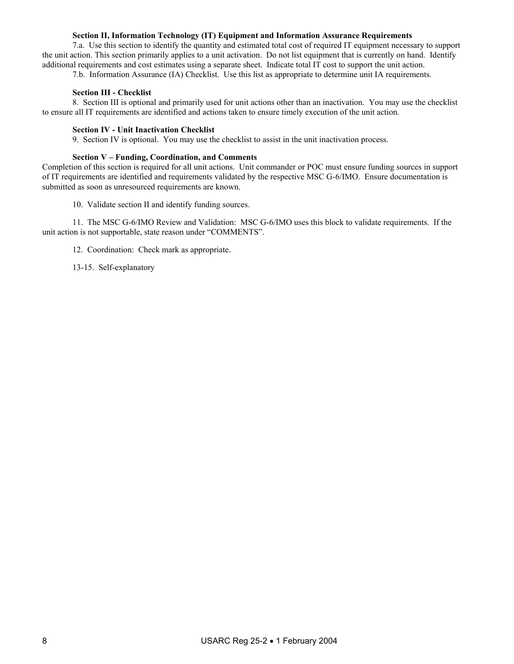#### **Section II, Information Technology (IT) Equipment and Information Assurance Requirements**

 7.a. Use this section to identify the quantity and estimated total cost of required IT equipment necessary to support the unit action. This section primarily applies to a unit activation. Do not list equipment that is currently on hand. Identify additional requirements and cost estimates using a separate sheet. Indicate total IT cost to support the unit action.

7.b. Information Assurance (IA) Checklist. Use this list as appropriate to determine unit IA requirements.

#### **Section III - Checklist**

 8. Section III is optional and primarily used for unit actions other than an inactivation. You may use the checklist to ensure all IT requirements are identified and actions taken to ensure timely execution of the unit action.

#### **Section IV - Unit Inactivation Checklist**

9. Section IV is optional. You may use the checklist to assist in the unit inactivation process.

#### **Section V – Funding, Coordination, and Comments**

Completion of this section is required for all unit actions. Unit commander or POC must ensure funding sources in support of IT requirements are identified and requirements validated by the respective MSC G-6/IMO. Ensure documentation is submitted as soon as unresourced requirements are known.

10. Validate section II and identify funding sources.

 11. The MSC G-6/IMO Review and Validation: MSC G-6/IMO uses this block to validate requirements. If the unit action is not supportable, state reason under "COMMENTS".

12. Coordination: Check mark as appropriate.

13-15. Self-explanatory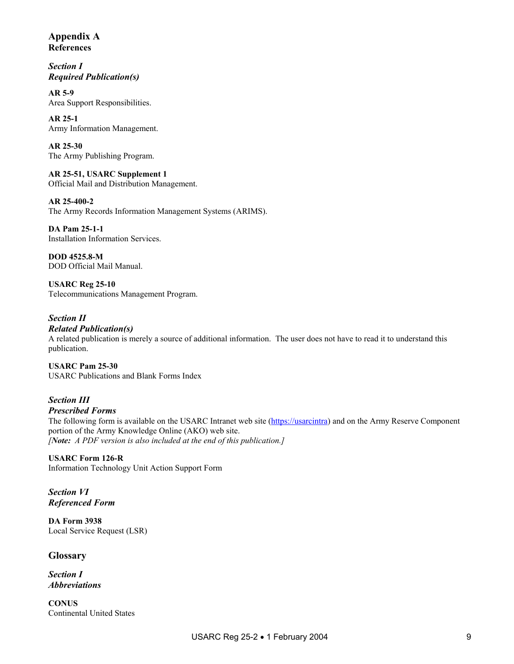**Appendix A References** 

*Section I Required Publication(s)* 

**AR 5-9**  Area Support Responsibilities.

**AR 25-1**  Army Information Management.

**AR 25-30**  The Army Publishing Program.

**AR 25-51, USARC Supplement 1**  Official Mail and Distribution Management.

**AR 25-400-2**  The Army Records Information Management Systems (ARIMS).

**DA Pam 25-1-1** Installation Information Services.

**DOD 4525.8-M**  DOD Official Mail Manual.

**USARC Reg 25-10**  Telecommunications Management Program.

*Section II Related Publication(s)* 

A related publication is merely a source of additional information. The user does not have to read it to understand this publication.

**USARC Pam 25-30**  USARC Publications and Blank Forms Index

#### *Section III Prescribed Forms*

The following form is available on the USARC Intranet web site [\(https://usarcintra](https://usarcintra/)) and on the Army Reserve Component portion of the Army Knowledge Online (AKO) web site. *[Note: A PDF version is also included at the end of this publication.]* 

**USARC Form 126-R**  Information Technology Unit Action Support Form

*Section VI Referenced Form* 

**DA Form 3938**  Local Service Request (LSR)

**Glossary** 

*Section I Abbreviations* 

**CONUS**  Continental United States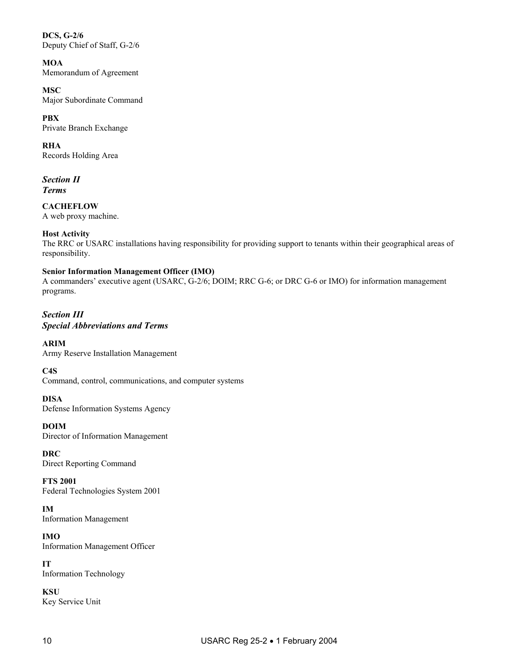**DCS, G-2/6**  Deputy Chief of Staff, G-2/6

**MOA**  Memorandum of Agreement

**MSC**  Major Subordinate Command

**PBX**  Private Branch Exchange

**RHA**  Records Holding Area

*Section II Terms*

**CACHEFLOW**  A web proxy machine.

**Host Activity** 

The RRC or USARC installations having responsibility for providing support to tenants within their geographical areas of responsibility.

#### **Senior Information Management Officer (IMO)**

A commanders' executive agent (USARC, G-2/6; DOIM; RRC G-6; or DRC G-6 or IMO) for information management programs.

*Section III Special Abbreviations and Terms* 

**ARIM**  Army Reserve Installation Management

**C4S**  Command, control, communications, and computer systems

**DISA**  Defense Information Systems Agency

**DOIM**  Director of Information Management

**DRC**  Direct Reporting Command

**FTS 2001**  Federal Technologies System 2001

**IM**  Information Management

**IMO**  Information Management Officer

**IT**  Information Technology

**KSU**  Key Service Unit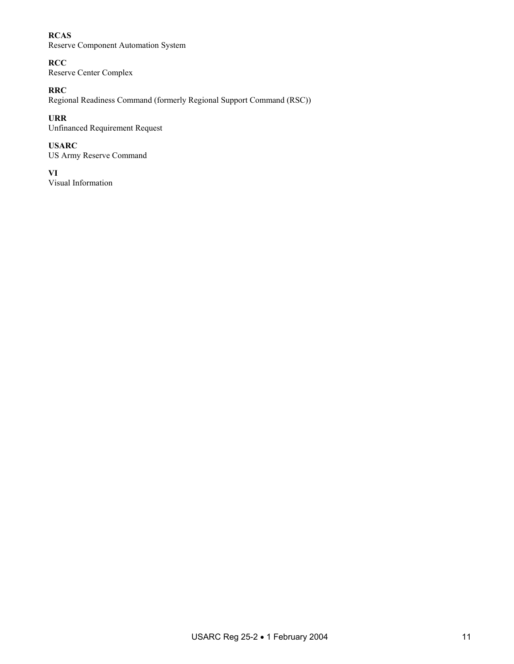#### **RCAS**

Reserve Component Automation System

**RCC**  Reserve Center Complex

#### **RRC**

Regional Readiness Command (formerly Regional Support Command (RSC))

#### **URR**

Unfinanced Requirement Request

#### **USARC**

US Army Reserve Command

#### **VI**

Visual Information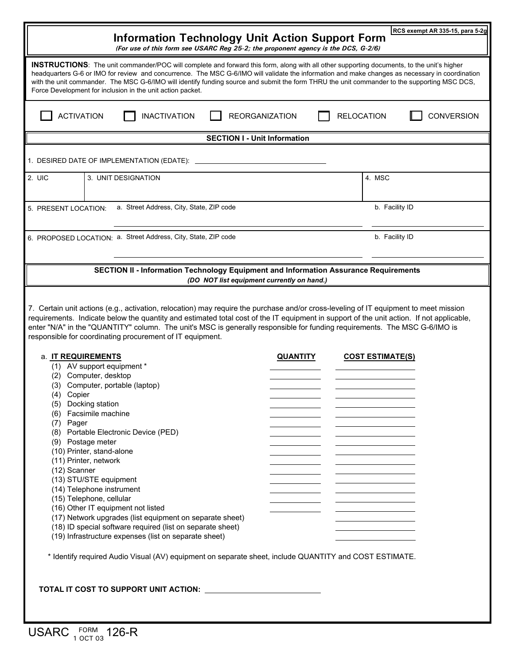| RCS exempt AR 335-15, para 5-2g<br><b>Information Technology Unit Action Support Form</b><br>(For use of this form see USARC Reg 25-2; the proponent agency is the DCS, G-2/6)                                                                                                                                                                                                                                                                                                                                    |                                                                                                                                                                                                                                                                                                                                                                                                                                                                                                                                                                                                                                                                                 |                       |                         |                   |  |  |  |  |
|-------------------------------------------------------------------------------------------------------------------------------------------------------------------------------------------------------------------------------------------------------------------------------------------------------------------------------------------------------------------------------------------------------------------------------------------------------------------------------------------------------------------|---------------------------------------------------------------------------------------------------------------------------------------------------------------------------------------------------------------------------------------------------------------------------------------------------------------------------------------------------------------------------------------------------------------------------------------------------------------------------------------------------------------------------------------------------------------------------------------------------------------------------------------------------------------------------------|-----------------------|-------------------------|-------------------|--|--|--|--|
| <b>INSTRUCTIONS:</b> The unit commander/POC will complete and forward this form, along with all other supporting documents, to the unit's higher<br>headquarters G-6 or IMO for review and concurrence. The MSC G-6/IMO will validate the information and make changes as necessary in coordination<br>with the unit commander. The MSC G-6/IMO will identify funding source and submit the form THRU the unit commander to the supporting MSC DCS,<br>Force Development for inclusion in the unit action packet. |                                                                                                                                                                                                                                                                                                                                                                                                                                                                                                                                                                                                                                                                                 |                       |                         |                   |  |  |  |  |
| <b>ACTIVATION</b>                                                                                                                                                                                                                                                                                                                                                                                                                                                                                                 | <b>INACTIVATION</b>                                                                                                                                                                                                                                                                                                                                                                                                                                                                                                                                                                                                                                                             | <b>REORGANIZATION</b> | <b>RELOCATION</b>       | <b>CONVERSION</b> |  |  |  |  |
| <b>SECTION I - Unit Information</b>                                                                                                                                                                                                                                                                                                                                                                                                                                                                               |                                                                                                                                                                                                                                                                                                                                                                                                                                                                                                                                                                                                                                                                                 |                       |                         |                   |  |  |  |  |
| 1. DESIRED DATE OF IMPLEMENTATION (EDATE):                                                                                                                                                                                                                                                                                                                                                                                                                                                                        |                                                                                                                                                                                                                                                                                                                                                                                                                                                                                                                                                                                                                                                                                 |                       |                         |                   |  |  |  |  |
| 2. UIC                                                                                                                                                                                                                                                                                                                                                                                                                                                                                                            | 3. UNIT DESIGNATION                                                                                                                                                                                                                                                                                                                                                                                                                                                                                                                                                                                                                                                             |                       | 4. MSC                  |                   |  |  |  |  |
| 5. PRESENT LOCATION:                                                                                                                                                                                                                                                                                                                                                                                                                                                                                              | a. Street Address, City, State, ZIP code                                                                                                                                                                                                                                                                                                                                                                                                                                                                                                                                                                                                                                        |                       | b. Facility ID          |                   |  |  |  |  |
|                                                                                                                                                                                                                                                                                                                                                                                                                                                                                                                   | 6. PROPOSED LOCATION: a. Street Address, City, State, ZIP code                                                                                                                                                                                                                                                                                                                                                                                                                                                                                                                                                                                                                  |                       | b. Facility ID          |                   |  |  |  |  |
| SECTION II - Information Technology Equipment and Information Assurance Requirements<br>(DO NOT list equipment currently on hand.)                                                                                                                                                                                                                                                                                                                                                                                |                                                                                                                                                                                                                                                                                                                                                                                                                                                                                                                                                                                                                                                                                 |                       |                         |                   |  |  |  |  |
| 7. Certain unit actions (e.g., activation, relocation) may require the purchase and/or cross-leveling of IT equipment to meet mission<br>requirements. Indicate below the quantity and estimated total cost of the IT equipment in support of the unit action. If not applicable,<br>enter "N/A" in the "QUANTITY" column. The unit's MSC is generally responsible for funding requirements. The MSC G-6/IMO is<br>responsible for coordinating procurement of IT equipment.                                      |                                                                                                                                                                                                                                                                                                                                                                                                                                                                                                                                                                                                                                                                                 |                       |                         |                   |  |  |  |  |
| a. IT REQUIREMENTS<br>(4)<br>Copier<br>(7) Pager<br>(12) Scanner                                                                                                                                                                                                                                                                                                                                                                                                                                                  | (1) AV support equipment *<br>(2) Computer, desktop<br>(3) Computer, portable (laptop)<br>(5) Docking station<br>(6) Facsimile machine<br>(8) Portable Electronic Device (PED)<br>(9) Postage meter<br>(10) Printer, stand-alone<br>(11) Printer, network<br>(13) STU/STE equipment<br>(14) Telephone instrument<br>(15) Telephone, cellular<br>(16) Other IT equipment not listed<br>(17) Network upgrades (list equipment on separate sheet)<br>(18) ID special software required (list on separate sheet)<br>(19) Infrastructure expenses (list on separate sheet)<br>* Identify required Audio Visual (AV) equipment on separate sheet, include QUANTITY and COST ESTIMATE. | <b>QUANTITY</b>       | <b>COST ESTIMATE(S)</b> |                   |  |  |  |  |
| TOTAL IT COST TO SUPPORT UNIT ACTION: _____________________________                                                                                                                                                                                                                                                                                                                                                                                                                                               |                                                                                                                                                                                                                                                                                                                                                                                                                                                                                                                                                                                                                                                                                 |                       |                         |                   |  |  |  |  |

USARC FORM 126-R

í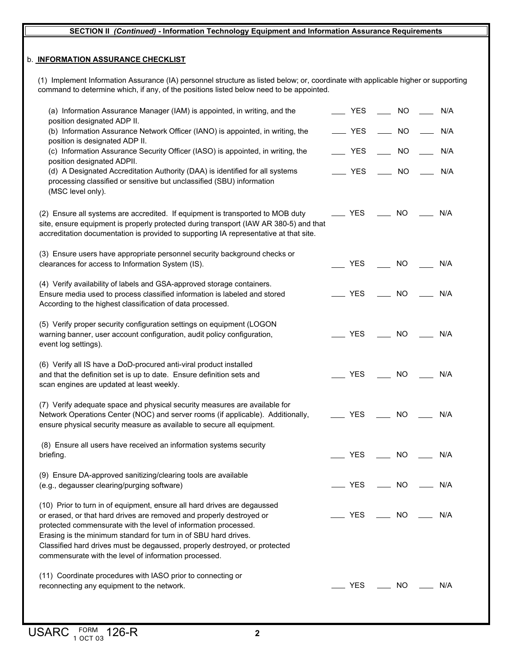#### **SECTION II** *(Continued)* **- Information Technology Equipment and Information Assurance Requirements**

#### b. **INFORMATION ASSURANCE CHECKLIST**

(1) Implement Information Assurance (IA) personnel structure as listed below; or, coordinate with applicable higher or supporting command to determine which, if any, of the positions listed below need to be appointed.

| (a) Information Assurance Manager (IAM) is appointed, in writing, and the<br>position designated ADP II.                                                                                                                                                                                                                                                                                                                      | <b>YES</b> | NO                          | N/A |
|-------------------------------------------------------------------------------------------------------------------------------------------------------------------------------------------------------------------------------------------------------------------------------------------------------------------------------------------------------------------------------------------------------------------------------|------------|-----------------------------|-----|
| (b) Information Assurance Network Officer (IANO) is appointed, in writing, the<br>position is designated ADP II.                                                                                                                                                                                                                                                                                                              | <b>YES</b> | <b>NO</b>                   | N/A |
| (c) Information Assurance Security Officer (IASO) is appointed, in writing, the<br>position designated ADPII.                                                                                                                                                                                                                                                                                                                 | <b>YES</b> | NO                          | N/A |
| (d) A Designated Accreditation Authority (DAA) is identified for all systems<br>processing classified or sensitive but unclassified (SBU) information<br>(MSC level only).                                                                                                                                                                                                                                                    | <b>YES</b> | NO                          | N/A |
| (2) Ensure all systems are accredited. If equipment is transported to MOB duty<br>site, ensure equipment is properly protected during transport (IAW AR 380-5) and that<br>accreditation documentation is provided to supporting IA representative at that site.                                                                                                                                                              | YES        | <b>NO</b>                   | N/A |
| (3) Ensure users have appropriate personnel security background checks or<br>clearances for access to Information System (IS).                                                                                                                                                                                                                                                                                                | <b>YES</b> | <b>NO</b>                   | N/A |
| (4) Verify availability of labels and GSA-approved storage containers.<br>Ensure media used to process classified information is labeled and stored<br>According to the highest classification of data processed.                                                                                                                                                                                                             | <b>YES</b> | <b>NO</b>                   | N/A |
| (5) Verify proper security configuration settings on equipment (LOGON<br>warning banner, user account configuration, audit policy configuration,<br>event log settings).                                                                                                                                                                                                                                                      | <b>YES</b> | <b>NO</b>                   | N/A |
| (6) Verify all IS have a DoD-procured anti-viral product installed<br>and that the definition set is up to date. Ensure definition sets and<br>scan engines are updated at least weekly.                                                                                                                                                                                                                                      | <b>YES</b> | <b>NO</b>                   | N/A |
| (7) Verify adequate space and physical security measures are available for<br>Network Operations Center (NOC) and server rooms (if applicable). Additionally,<br>ensure physical security measure as available to secure all equipment.                                                                                                                                                                                       | <b>YES</b> | <b>NO</b>                   | N/A |
| (8) Ensure all users have received an information systems security<br>briefing.                                                                                                                                                                                                                                                                                                                                               | <b>YES</b> | <b>NO</b>                   | N/A |
| (9) Ensure DA-approved sanitizing/clearing tools are available<br>(e.g., degausser clearing/purging software)                                                                                                                                                                                                                                                                                                                 | <b>YES</b> | $\overline{\phantom{0}}$ NO | N/A |
| (10) Prior to turn in of equipment, ensure all hard drives are degaussed<br>or erased, or that hard drives are removed and properly destroyed or<br>protected commensurate with the level of information processed.<br>Erasing is the minimum standard for turn in of SBU hard drives.<br>Classified hard drives must be degaussed, properly destroyed, or protected<br>commensurate with the level of information processed. | <b>YES</b> | NO L                        | N/A |
| (11) Coordinate procedures with IASO prior to connecting or<br>reconnecting any equipment to the network.                                                                                                                                                                                                                                                                                                                     | YES        | $\_$ NO $\_$                | N/A |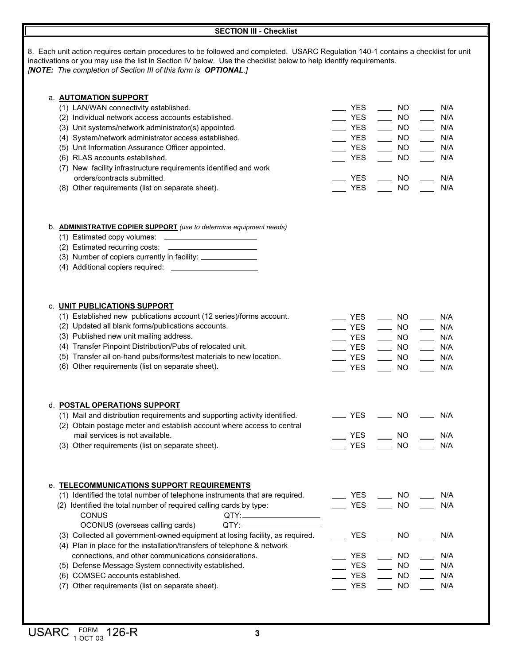8. Each unit action requires certain procedures to be followed and completed. USARC Regulation 140-1 contains a checklist for unit inactivations or you may use the list in Section IV below. Use the checklist below to help identify requirements. *[NOTE: The completion of Section III of this form is OPTIONAL.]* b. **ADMINISTRATIVE COPIER SUPPORT** *(use to determine equipment needs)* (1) Estimated copy volumes: (2) Estimated recurring costs: (3) Number of copiers currently in facility: (4) Additional copiers required: d. **POSTAL OPERATIONS SUPPORT** (1) Mail and distribution requirements and supporting activity identified. (2) Obtain postage meter and establish account where access to central mail services is not available. (3) Other requirements (list on separate sheet). **SECTION III - Checklist** a. **AUTOMATION SUPPORT** (1) LAN/WAN connectivity established. (2) Individual network access accounts established. (3) Unit systems/network administrator(s) appointed. (4) System/network administrator access established. (5) Unit Information Assurance Officer appointed. (6) RLAS accounts established. (7) New facility infrastructure requirements identified and work orders/contracts submitted. (8) Other requirements (list on separate sheet). c. **UNIT PUBLICATIONS SUPPORT** (1) Established new publications account (12 series)/forms account. (2) Updated all blank forms/publications accounts. (3) Published new unit mailing address. (4) Transfer Pinpoint Distribution/Pubs of relocated unit. (5) Transfer all on-hand pubs/forms/test materials to new location. (6) Other requirements (list on separate sheet). e. **TELECOMMUNICATIONS SUPPORT REQUIREMENTS** (1) Identified the total number of telephone instruments that are required. (2) Identified the total number of required calling cards by type: CONUS QTY: OCONUS (overseas calling cards) QTY: (3) Collected all government-owned equipment at losing facility, as required. (4) Plan in place for the installation/transfers of telephone & network connections, and other communications considerations. (5) Defense Message System connectivity established. (6) COMSEC accounts established. (7) Other requirements (list on separate sheet). YES NO N/A YES NO N/A  $\overline{\phantom{a}}$  $\sim$  YES  $\sim$  NO  $\sim$  N/A YES NO N/A YES NO N/A  $YES$   $\_\_$  NO  $\_\_$  N/A \_\_\_ YES \_\_\_\_ NO \_\_\_\_ N/A  $YES$  NO  $N/A$  YES NO N/A YES NO N/A  $YES$  NO  $N/A$  $YES$  NO  $N/A$ YES NO N/A YES \_\_\_ NO \_\_\_ N/A YES NO N/A  $YES$  NO  $N/A$  $\sim$  YES  $\sim$  NO  $\sim$  N/A  $\mathbb{Z}$  YES  $\mathbb{Z}$  NO  $\mathbb{Z}$  N/A  $\sim$  YES  $\sim$  NO  $\sim$  N/A \_ YES \_\_\_\_\_ NO \_\_\_\_\_ N/A  $\sim$  YES  $\sim$  NO  $\sim$  N/A  $\equiv$  YES  $\equiv$  NO  $\equiv$  N/A  $YES$  NO N/A NO N/A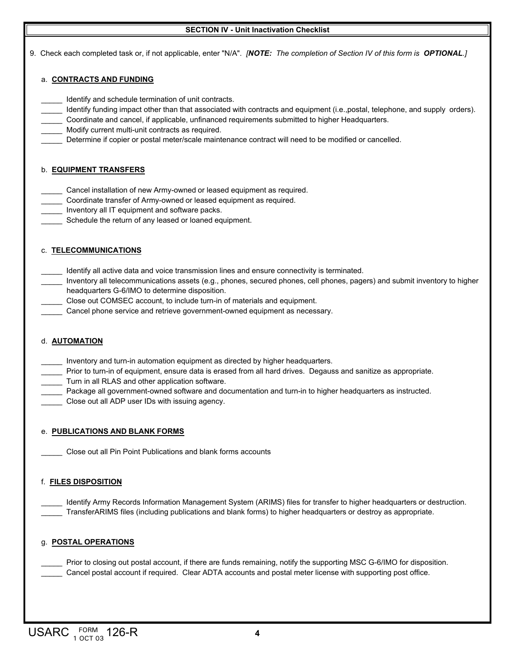#### **SECTION IV - Unit Inactivation Checklist**

9. Check each completed task or, if not applicable, enter "N/A". *[NOTE: The completion of Section IV of this form is OPTIONAL.]*

#### a. **CONTRACTS AND FUNDING**

- Identify and schedule termination of unit contracts.
- \_\_\_\_\_ Identify funding impact other than that associated with contracts and equipment (i.e.,postal, telephone, and supply orders).
- \_\_\_\_\_ Coordinate and cancel, if applicable, unfinanced requirements submitted to higher Headquarters.
- Modify current multi-unit contracts as required.
- Determine if copier or postal meter/scale maintenance contract will need to be modified or cancelled.

#### b. **EQUIPMENT TRANSFERS**

- \_\_\_\_\_ Cancel installation of new Army-owned or leased equipment as required.
- \_\_\_\_\_ Coordinate transfer of Army-owned or leased equipment as required.
- Inventory all IT equipment and software packs.
- Schedule the return of any leased or loaned equipment.

#### c. **TELECOMMUNICATIONS**

- Identify all active data and voice transmission lines and ensure connectivity is terminated.
- \_\_\_\_\_ Inventory all telecommunications assets (e.g., phones, secured phones, cell phones, pagers) and submit inventory to higher headquarters G-6/IMO to determine disposition.
- Close out COMSEC account, to include turn-in of materials and equipment.
- Cancel phone service and retrieve government-owned equipment as necessary.

#### d. **AUTOMATION**

- \_\_\_\_\_ Inventory and turn-in automation equipment as directed by higher headquarters.
- \_\_\_\_\_ Prior to turn-in of equipment, ensure data is erased from all hard drives. Degauss and sanitize as appropriate.
- \_\_\_\_\_ Turn in all RLAS and other application software.
- \_\_\_\_\_ Package all government-owned software and documentation and turn-in to higher headquarters as instructed.
- \_\_\_\_\_ Close out all ADP user IDs with issuing agency.

#### e. **PUBLICATIONS AND BLANK FORMS**

Close out all Pin Point Publications and blank forms accounts

#### f. **FILES DISPOSITION**

Identify Army Records Information Management System (ARIMS) files for transfer to higher headquarters or destruction. \_\_\_\_\_ TransferARIMS files (including publications and blank forms) to higher headquarters or destroy as appropriate.

#### g. **POSTAL OPERATIONS**

Prior to closing out postal account, if there are funds remaining, notify the supporting MSC G-6/IMO for disposition. Cancel postal account if required. Clear ADTA accounts and postal meter license with supporting post office.